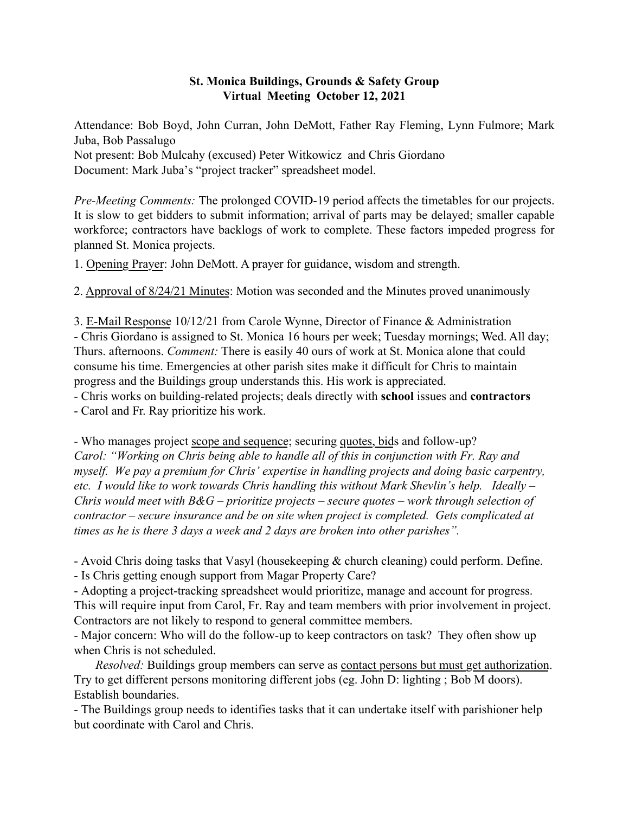## St. Monica Buildings, Grounds & Safety Group Virtual Meeting October 12, 2021

Attendance: Bob Boyd, John Curran, John DeMott, Father Ray Fleming, Lynn Fulmore; Mark Juba, Bob Passalugo

Not present: Bob Mulcahy (excused) Peter Witkowicz and Chris Giordano Document: Mark Juba's "project tracker" spreadsheet model.

*Pre-Meeting Comments:* The prolonged COVID-19 period affects the timetables for our projects. It is slow to get bidders to submit information; arrival of parts may be delayed; smaller capable workforce; contractors have backlogs of work to complete. These factors impeded progress for planned St. Monica projects.

1. Opening Prayer: John DeMott. A prayer for guidance, wisdom and strength.

2. Approval of 8/24/21 Minutes: Motion was seconded and the Minutes proved unanimously

3. E-Mail Response 10/12/21 from Carole Wynne, Director of Finance & Administration - Chris Giordano is assigned to St. Monica 16 hours per week; Tuesday mornings; Wed. All day; Thurs. afternoons. *Comment:* There is easily 40 ours of work at St. Monica alone that could consume his time. Emergencies at other parish sites make it difficult for Chris to maintain progress and the Buildings group understands this. His work is appreciated.

- Chris works on building-related projects; deals directly with school issues and contractors - Carol and Fr. Ray prioritize his work.

- Who manages project scope and sequence; securing quotes, bids and follow-up? *Carol: "Working on Chris being able to handle all of this in conjunction with Fr. Ray and myself. We pay a premium for Chris' expertise in handling projects and doing basic carpentry, etc. I would like to work towards Chris handling this without Mark Shevlin's help. Ideally – Chris would meet with B&G – prioritize projects – secure quotes – work through selection of contractor – secure insurance and be on site when project is completed. Gets complicated at times as he is there 3 days a week and 2 days are broken into other parishes".*

- Avoid Chris doing tasks that Vasyl (housekeeping & church cleaning) could perform. Define. - Is Chris getting enough support from Magar Property Care?

- Adopting a project-tracking spreadsheet would prioritize, manage and account for progress. This will require input from Carol, Fr. Ray and team members with prior involvement in project. Contractors are not likely to respond to general committee members.

- Major concern: Who will do the follow-up to keep contractors on task? They often show up when Chris is not scheduled.

 *Resolved:* Buildings group members can serve as contact persons but must get authorization. Try to get different persons monitoring different jobs (eg. John D: lighting ; Bob M doors). Establish boundaries.

- The Buildings group needs to identifies tasks that it can undertake itself with parishioner help but coordinate with Carol and Chris.